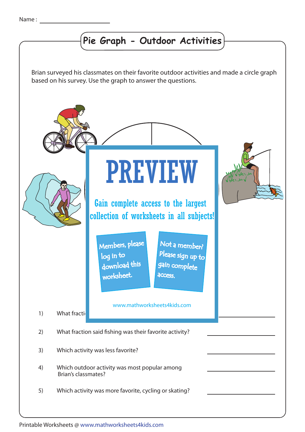